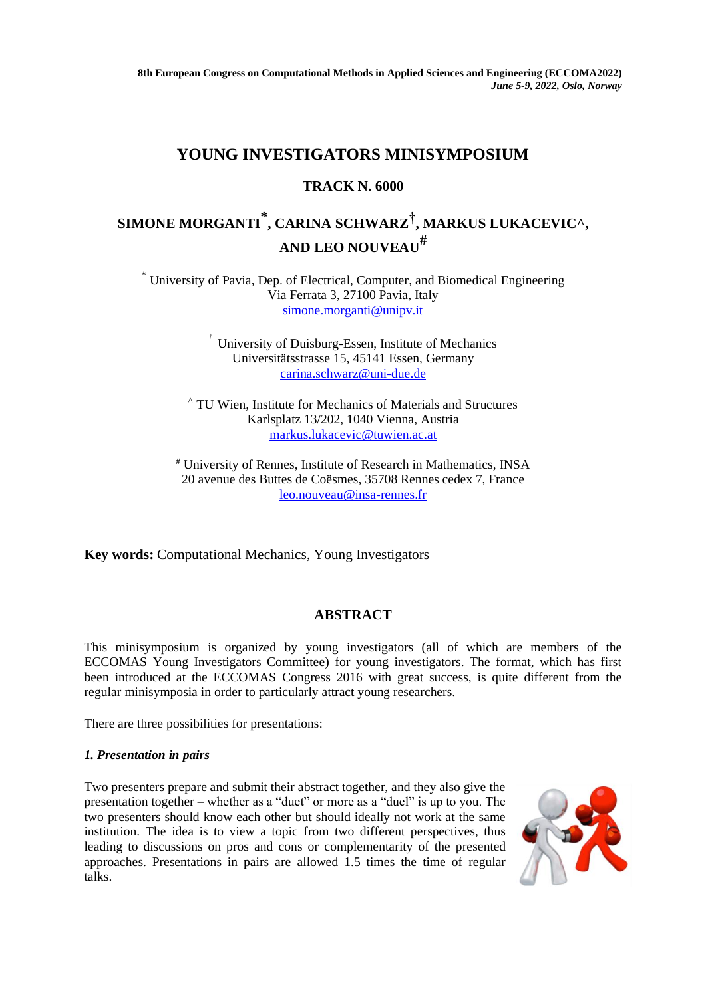## **YOUNG INVESTIGATORS MINISYMPOSIUM**

## **TRACK N. 6000**

# **SIMONE MORGANTI \* , CARINA SCHWARZ† , MARKUS LUKACEVIC^, AND LEO NOUVEAU#**

\* University of Pavia, Dep. of Electrical, Computer, and Biomedical Engineering Via Ferrata 3, 27100 Pavia, Italy [simone.morganti@unipv.it](mailto:simone.morganti@unipv.it)

> † University of Duisburg-Essen, Institute of Mechanics Universitätsstrasse 15, 45141 Essen, Germany [carina.schwarz@uni-due.de](mailto:carina.schwarz@uni-due.de)

^ TU Wien, Institute for Mechanics of Materials and Structures Karlsplatz 13/202, 1040 Vienna, Austria [markus.lukacevic@tuwien.ac.at](mailto:markus.lukacevic@tuwien.ac.at)

# University of Rennes, Institute of Research in Mathematics, INSA 20 avenue des Buttes de Coësmes, 35708 Rennes cedex 7, France [leo.nouveau@insa-rennes.fr](mailto:leo.nouveau@insa-rennes.fr)

**Key words:** Computational Mechanics, Young Investigators

### **ABSTRACT**

This minisymposium is organized by young investigators (all of which are members of the ECCOMAS Young Investigators Committee) for young investigators. The format, which has first been introduced at the ECCOMAS Congress 2016 with great success, is quite different from the regular minisymposia in order to particularly attract young researchers.

There are three possibilities for presentations:

#### *1. Presentation in pairs*

Two presenters prepare and submit their abstract together, and they also give the presentation together – whether as a "duet" or more as a "duel" is up to you. The two presenters should know each other but should ideally not work at the same institution. The idea is to view a topic from two different perspectives, thus leading to discussions on pros and cons or complementarity of the presented approaches. Presentations in pairs are allowed 1.5 times the time of regular talks.